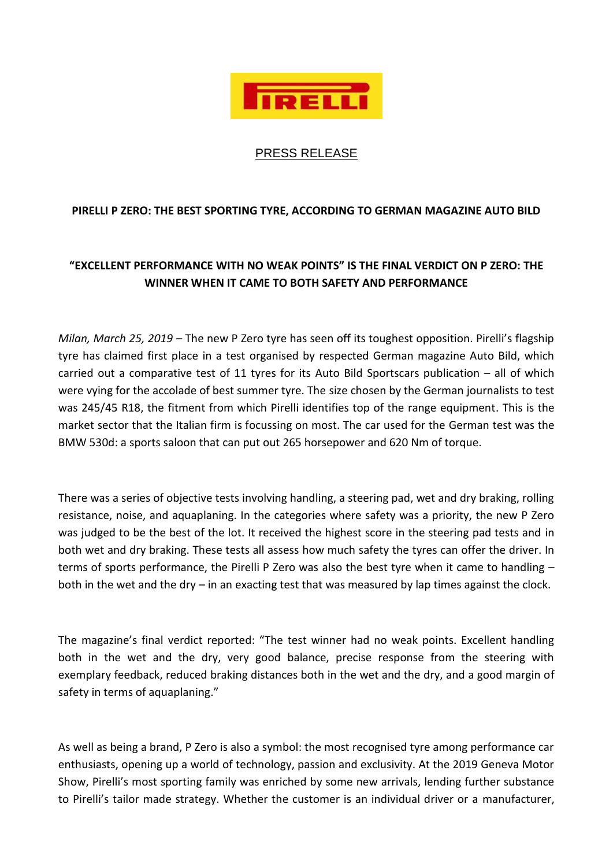

## PRESS RELEASE

## **PIRELLI P ZERO: THE BEST SPORTING TYRE, ACCORDING TO GERMAN MAGAZINE AUTO BILD**

## **"EXCELLENT PERFORMANCE WITH NO WEAK POINTS" IS THE FINAL VERDICT ON P ZERO: THE WINNER WHEN IT CAME TO BOTH SAFETY AND PERFORMANCE**

*Milan, March 25, 2019 –* The new P Zero tyre has seen off its toughest opposition. Pirelli's flagship tyre has claimed first place in a test organised by respected German magazine Auto Bild, which carried out a comparative test of 11 tyres for its Auto Bild Sportscars publication – all of which were vying for the accolade of best summer tyre. The size chosen by the German journalists to test was 245/45 R18, the fitment from which Pirelli identifies top of the range equipment. This is the market sector that the Italian firm is focussing on most. The car used for the German test was the BMW 530d: a sports saloon that can put out 265 horsepower and 620 Nm of torque.

There was a series of objective tests involving handling, a steering pad, wet and dry braking, rolling resistance, noise, and aquaplaning. In the categories where safety was a priority, the new P Zero was judged to be the best of the lot. It received the highest score in the steering pad tests and in both wet and dry braking. These tests all assess how much safety the tyres can offer the driver. In terms of sports performance, the Pirelli P Zero was also the best tyre when it came to handling – both in the wet and the dry – in an exacting test that was measured by lap times against the clock.

The magazine's final verdict reported: "The test winner had no weak points. Excellent handling both in the wet and the dry, very good balance, precise response from the steering with exemplary feedback, reduced braking distances both in the wet and the dry, and a good margin of safety in terms of aquaplaning."

As well as being a brand, P Zero is also a symbol: the most recognised tyre among performance car enthusiasts, opening up a world of technology, passion and exclusivity. At the 2019 Geneva Motor Show, Pirelli's most sporting family was enriched by some new arrivals, lending further substance to Pirelli's tailor made strategy. Whether the customer is an individual driver or a manufacturer,